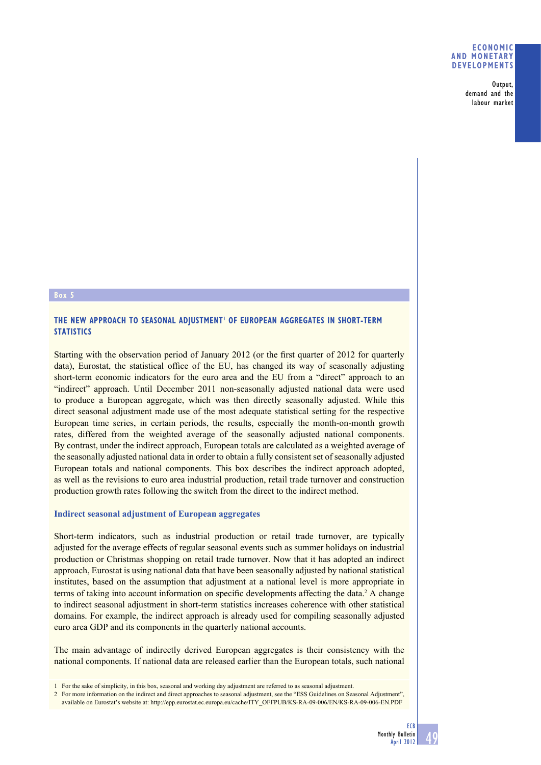### **ECONOMIC AND MONETARY DEVELOPMENTS**

**Output, demand and the labour market**

# **Box 5**

# **THE NEW APPROACH TO SEASONAL ADJUSTMENT1 OF EUROPEAN AGGREGATES IN SHORT-TERM STATISTICS**

Starting with the observation period of January 2012 (or the first quarter of 2012 for quarterly data), Eurostat, the statistical office of the EU, has changed its way of seasonally adjusting short-term economic indicators for the euro area and the EU from a "direct" approach to an "indirect" approach. Until December 2011 non-seasonally adjusted national data were used to produce a European aggregate, which was then directly seasonally adjusted. While this direct seasonal adjustment made use of the most adequate statistical setting for the respective European time series, in certain periods, the results, especially the month-on-month growth rates, differed from the weighted average of the seasonally adjusted national components. By contrast, under the indirect approach, European totals are calculated as a weighted average of the seasonally adjusted national data in order to obtain a fully consistent set of seasonally adjusted European totals and national components. This box describes the indirect approach adopted, as well as the revisions to euro area industrial production, retail trade turnover and construction production growth rates following the switch from the direct to the indirect method.

## **Indirect seasonal adjustment of European aggregates**

Short-term indicators, such as industrial production or retail trade turnover, are typically adjusted for the average effects of regular seasonal events such as summer holidays on industrial production or Christmas shopping on retail trade turnover. Now that it has adopted an indirect approach, Eurostat is using national data that have been seasonally adjusted by national statistical institutes, based on the assumption that adjustment at a national level is more appropriate in terms of taking into account information on specific developments affecting the data.<sup>2</sup> A change to indirect seasonal adjustment in short-term statistics increases coherence with other statistical domains. For example, the indirect approach is already used for compiling seasonally adjusted euro area GDP and its components in the quarterly national accounts.

The main advantage of indirectly derived European aggregates is their consistency with the national components. If national data are released earlier than the European totals, such national

2 For more information on the indirect and direct approaches to seasonal adjustment, see the "ESS Guidelines on Seasonal Adjustment", available on Eurostat's website at: http://epp.eurostat.ec.europa.eu/cache/ITY\_OFFPUB/KS-RA-09-006/EN/KS-RA-09-006-EN.PDF

<sup>1</sup> For the sake of simplicity, in this box, seasonal and working day adjustment are referred to as seasonal adjustment.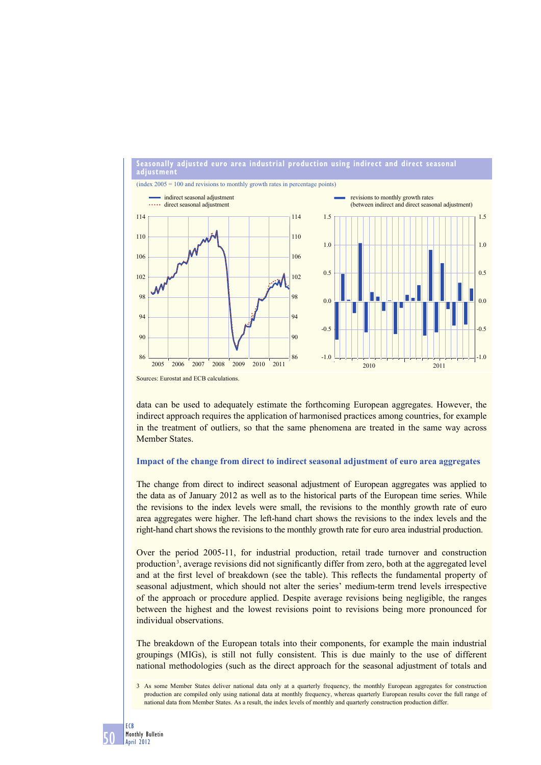

data can be used to adequately estimate the forthcoming European aggregates. However, the indirect approach requires the application of harmonised practices among countries, for example in the treatment of outliers, so that the same phenomena are treated in the same way across Member States.

# **Impact of the change from direct to indirect seasonal adjustment of euro area aggregates**

The change from direct to indirect seasonal adjustment of European aggregates was applied to the data as of January 2012 as well as to the historical parts of the European time series. While the revisions to the index levels were small, the revisions to the monthly growth rate of euro area aggregates were higher. The left-hand chart shows the revisions to the index levels and the right-hand chart shows the revisions to the monthly growth rate for euro area industrial production.

Over the period 2005-11, for industrial production, retail trade turnover and construction production<sup>3</sup>, average revisions did not significantly differ from zero, both at the aggregated level and at the first level of breakdown (see the table). This reflects the fundamental property of seasonal adjustment, which should not alter the series' medium-term trend levels irrespective of the approach or procedure applied. Despite average revisions being negligible, the ranges between the highest and the lowest revisions point to revisions being more pronounced for individual observations.

The breakdown of the European totals into their components, for example the main industrial groupings (MIGs), is still not fully consistent. This is due mainly to the use of different national methodologies (such as the direct approach for the seasonal adjustment of totals and

<sup>3</sup> As some Member States deliver national data only at a quarterly frequency, the monthly European aggregates for construction production are compiled only using national data at monthly frequency, whereas quarterly European results cover the full range of national data from Member States. As a result, the index levels of monthly and quarterly construction production differ.